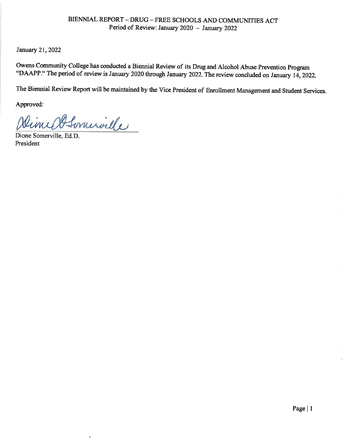January 21, 2022

Owens Community College has conducted a Biennial Review of its Drug and Alcohol Abuse Prevention Program "DAAPP." The period of review is January 2020 through January 2022. The review concluded on January 14, 2022.

The Biennial Review Report will be maintained by the Vice President of Enrollment Management and Student Services.

Approved:

DimedSominalle

ä,

Dione Somerville, Ed.D. President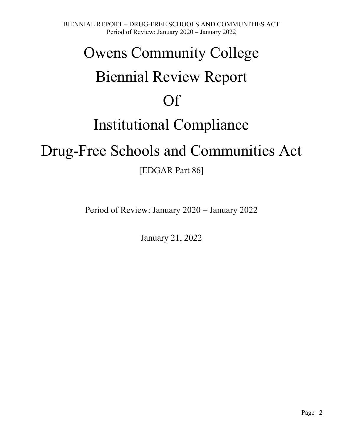# Owens Community College Biennial Review Report Of Institutional Compliance

## Drug-Free Schools and Communities Act

[EDGAR Part 86]

Period of Review: January 2020 – January 2022

January 21, 2022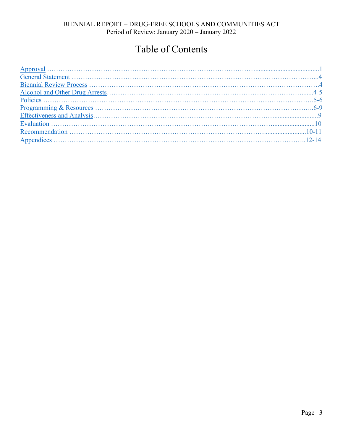## Table of Contents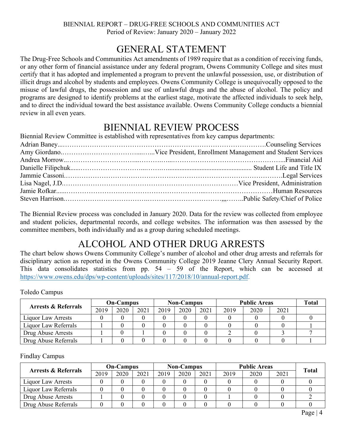## GENERAL STATEMENT

<span id="page-3-0"></span>The Drug-Free Schools and Communities Act amendments of 1989 require that as a condition of receiving funds, or any other form of financial assistance under any federal program, Owens Community College and sites must certify that it has adopted and implemented a program to prevent the unlawful possession, use, or distribution of illicit drugs and alcohol by students and employees. Owens Community College is unequivocally opposed to the misuse of lawful drugs, the possession and use of unlawful drugs and the abuse of alcohol. The policy and programs are designed to identify problems at the earliest stage, motivate the affected individuals to seek help, and to direct the individual toward the best assistance available. Owens Community College conducts a biennial review in all even years.

## BIENNIAL REVIEW PROCESS

Biennial Review Committee is established with representatives from key campus departments:

The Biennial Review process was concluded in January 2020. Data for the review was collected from employee and student policies, departmental records, and college websites. The information was then assessed by the committee members, both individually and as a group during scheduled meetings.

## ALCOHOL AND OTHER DRUG ARRESTS

The chart below shows Owens Community College's number of alcohol and other drug arrests and referrals for disciplinary action as reported in the Owens Community College 2019 Jeanne Clery Annual Security Report. This data consolidates statistics from pp. 54 – 59 of the Report, which can be accessed at https://www.owens.edu/dps/wp-content/uploads/sites/117/2018/10/annual-report.pdf.

Toledo Campus

| <b>Arrests &amp; Referrals</b> | <b>On-Campus</b> |      |      | <b>Non-Campus</b> |      |      | <b>Public Areas</b> | <b>Total</b> |      |  |
|--------------------------------|------------------|------|------|-------------------|------|------|---------------------|--------------|------|--|
|                                | 2019             | 2020 | 2021 | 2019              | 2020 | 2021 | 2019                | 2020         | 2021 |  |
| Liquor Law Arrests             |                  |      |      |                   |      |      |                     |              |      |  |
| Liquor Law Referrals           |                  |      |      |                   |      |      |                     |              |      |  |
| Drug Abuse Arrests             |                  |      |      |                   |      |      |                     |              |      |  |
| Drug Abuse Referrals           |                  |      |      |                   |      |      |                     |              |      |  |

Findlay Campus

| <b>Arrests &amp; Referrals</b> | <b>On-Campus</b> |      |      | <b>Non-Campus</b> |      |      | <b>Public Areas</b> | <b>Total</b> |      |  |
|--------------------------------|------------------|------|------|-------------------|------|------|---------------------|--------------|------|--|
|                                | 2019             | 2020 | 2021 | 2019              | 2020 | 2021 | 2019                | 2020         | 2021 |  |
| <b>Liquor Law Arrests</b>      |                  |      |      |                   |      |      |                     |              |      |  |
| Liquor Law Referrals           |                  |      |      |                   |      |      |                     |              |      |  |
| Drug Abuse Arrests             |                  |      |      |                   |      |      |                     |              |      |  |
| Drug Abuse Referrals           |                  |      |      |                   |      |      |                     |              |      |  |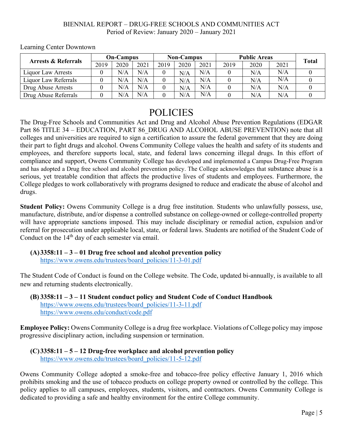| <b>Arrests &amp; Referrals</b> | <b>On-Campus</b> |      |      | <b>Non-Campus</b> |      |      | <b>Public Areas</b> |      |      |              |
|--------------------------------|------------------|------|------|-------------------|------|------|---------------------|------|------|--------------|
|                                | 2019             | 2020 | 2021 | 2019              | 2020 | 2021 | 2019                | 2020 | 2021 | <b>Total</b> |
| <b>Liquor Law Arrests</b>      |                  | N/A  | N/A  |                   | N/A  | N/A  |                     | N/A  | N/A  |              |
| Liquor Law Referrals           |                  | N/A  | N/A  |                   | N/A  | N/A  |                     | N/A  | N/A  |              |
| Drug Abuse Arrests             |                  | N/A  | N/A  |                   | N/A  | N/A  |                     | N/A  | N/A  |              |
| Drug Abuse Referrals           |                  | N/A  | N/A  |                   | N/A  | N/A  |                     | N/A  | N/A  |              |

<span id="page-4-0"></span>Learning Center Downtown

### POLICIES

The Drug-Free Schools and Communities Act and Drug and Alcohol Abuse Prevention Regulations (EDGAR Part 86 TITLE 34 – EDUCATION, PART 86 DRUG AND ALCOHOL ABUSE PREVENTION) note that all colleges and universities are required to sign a certification to assure the federal government that they are doing their part to fight drugs and alcohol. Owens Community College values the health and safety of its students and employees, and therefore supports local, state, and federal laws concerning illegal drugs. In this effort of compliance and support, Owens Community College has developed and implemented a Campus Drug-Free Program and has adopted a Drug free school and alcohol prevention policy. The College acknowledges that substance abuse is a serious, yet treatable condition that affects the productive lives of students and employees. Furthermore, the College pledges to work collaboratively with programs designed to reduce and eradicate the abuse of alcohol and drugs.

**Student Policy:** Owens Community College is a drug free institution. Students who unlawfully possess, use, manufacture, distribute, and/or dispense a controlled substance on college-owned or college-controlled property will have appropriate sanctions imposed. This may include disciplinary or remedial action, expulsion and/or referral for prosecution under applicable local, state, or federal laws. Students are notified of the Student Code of Conduct on the  $14<sup>th</sup>$  day of each semester via email.

#### **(A)3358:11 – 3 – 01 Drug free school and alcohol prevention policy**

https://www.owens.edu/trustees/board\_policies/11-3-01.pdf

The Student Code of Conduct is found on the College website. The Code, updated bi-annually, is available to all new and returning students electronically.

#### **(B) 3358:11 – 3 – 11 Student conduct policy and Student Code of Conduct Handbook** https://www.owens.edu/trustees/board\_policies/11-3-11.pdf https://www.owens.edu/conduct/code.pdf

**Employee Policy:** Owens Community College is a drug free workplace. Violations of College policy may impose progressive disciplinary action, including suspension or termination.

#### **(C)3358:11 – 5 – 12 Drug-free workplace and alcohol prevention policy** https://www.owens.edu/trustees/board\_policies/11-5-12.pdf

Owens Community College adopted a smoke-free and tobacco-free policy effective January 1, 2016 which prohibits smoking and the use of tobacco products on college property owned or controlled by the college. This policy applies to all campuses, employees, students, visitors, and contractors. Owens Community College is dedicated to providing a safe and healthy environment for the entire College community.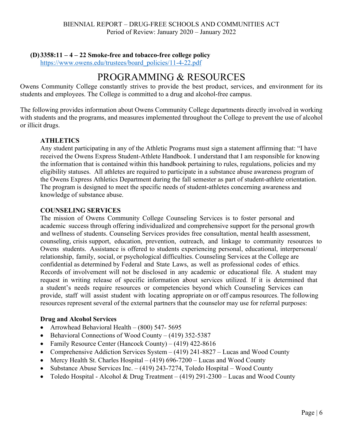#### <span id="page-5-0"></span>**(D)3358:11 – 4 – 22 Smoke-free and tobacco-free college policy**

https://www.owens.edu/trustees/board\_policies/11-4-22.pdf

## PROGRAMMING & RESOURCES

Owens Community College constantly strives to provide the best product, services, and environment for its students and employees. The College is committed to a drug and alcohol-free campus.

The following provides information about Owens Community College departments directly involved in working with students and the programs, and measures implemented throughout the College to prevent the use of alcohol or illicit drugs.

#### **ATHLETICS**

Any student participating in any of the Athletic Programs must sign a statement affirming that: "I have received the Owens Express Student-Athlete Handbook. I understand that I am responsible for knowing the information that is contained within this handbook pertaining to rules, regulations, policies and my eligibility statuses. All athletes are required to participate in a substance abuse awareness program of the Owens Express Athletics Department during the fall semester as part of student-athlete orientation. The program is designed to meet the specific needs of student-athletes concerning awareness and knowledge of substance abuse.

#### **COUNSELING SERVICES**

The mission of Owens Community College Counseling Services is to foster personal and academic success through offering individualized and comprehensive support for the personal growth and wellness of students. Counseling Services provides free consultation, mental health assessment, counseling, crisis support, education, prevention, outreach, and linkage to community resources to Owens students. Assistance is offered to students experiencing personal, educational, interpersonal/ relationship, family, social, or psychological difficulties. Counseling Services at the College are confidential as determined by Federal and State Laws, as well as professional codes of ethics. Records of involvement will not be disclosed in any academic or educational file. A student may request in writing release of specific information about services utilized. If it is determined that a student's needs require resources or competencies beyond which Counseling Services can provide, staff will assist student with locating appropriate on or off campus resources. The following resources represent several of the external partners that the counselor may use for referral purposes:

#### **Drug and Alcohol Services**

- Arrowhead Behavioral Health (800) 547- 5695
- Behavioral Connections of Wood County (419) 352-5387
- Family Resource Center (Hancock County) (419) 422-8616
- Comprehensive Addiction Services System (419) 241-8827 Lucas and Wood County
- Mercy Health St. Charles Hospital  $(419)$  696-7200 Lucas and Wood County
- Substance Abuse Services Inc.  $-$  (419) 243-7274, Toledo Hospital Wood County
- Toledo Hospital Alcohol & Drug Treatment (419) 291-2300 Lucas and Wood County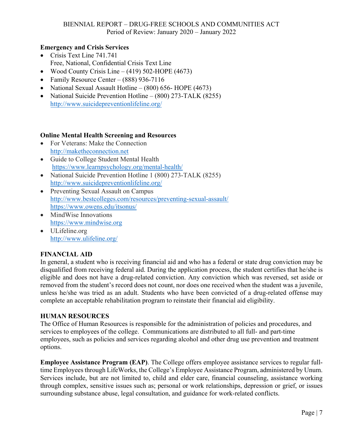#### **Emergency and Crisis Services**

- Crisis Text Line 741.741 Free, National, Confidential Crisis Text Line
- Wood County Crisis Line  $(419)$  502-HOPE (4673)
- Family Resource Center (888) 936-7116
- National Sexual Assault Hotline (800) 656- HOPE (4673)
- National Suicide Prevention Hotline (800) 273-TALK (8255) http://www.suicidepreventionlifeline.org/

#### **Online Mental Health Screening and Resources**

- For Veterans: Make the Connection http://maketheconnection.net
- Guide to College Student Mental Health https://www.learnpsychology.org/mental-health/
- National Suicide Prevention Hotline 1 (800) 273-TALK (8255) http://www.suicidepreventionlifeline.org/
- Preventing Sexual Assault on Campus http://www.bestcolleges.com/resources/preventing-sexual-assault/ https://www.owens.edu/itsonus/
- MindWise Innovations https://www.mindwise.org
- ULifeline.org http://www.ulifeline.org/

#### **FINANCIAL AID**

In general, a student who is receiving financial aid and who has a federal or state drug conviction may be disqualified from receiving federal aid. During the application process, the student certifies that he/she is eligible and does not have a drug-related conviction. Any conviction which was reversed, set aside or removed from the student's record does not count, nor does one received when the student was a juvenile, unless he/she was tried as an adult. Students who have been convicted of a drug-related offense may complete an acceptable rehabilitation program to reinstate their financial aid eligibility.

#### **HUMAN RESOURCES**

The Office of Human Resources is responsible for the administration of policies and procedures, and services to employees of the college. Communications are distributed to all full- and part-time employees, such as policies and services regarding alcohol and other drug use prevention and treatment options.

**Employee Assistance Program (EAP)**. The College offers employee assistance services to regular fulltime Employees through LifeWorks, the College's Employee Assistance Program, administered by Unum. Services include, but are not limited to, child and elder care, financial counseling, assistance working through complex, sensitive issues such as; personal or work relationships, depression or grief, or issues surrounding substance abuse, legal consultation, and guidance for work-related conflicts.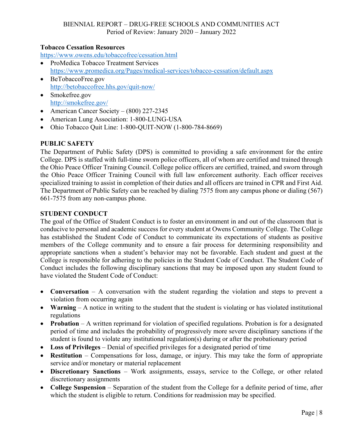#### **Tobacco Cessation Resources**

https://www.owens.edu/tobaccofree/cessation.html

- ProMedica Tobacco Treatment Services https://www.promedica.org/Pages/medical-services/tobacco-cessation/default.aspx
- BeTobaccoFree.gov http://betobaccofree.hhs.gov/quit-now/
- Smokefree.gov http://smokefree.gov/
- American Cancer Society  $(800)$  227-2345
- American Lung Association: 1-800-LUNG-USA
- Ohio Tobacco Quit Line: 1-800-QUIT-NOW (1-800-784-8669)

#### **PUBLIC SAFETY**

The Department of Public Safety (DPS) is committed to providing a safe environment for the entire College. DPS is staffed with full-time sworn police officers, all of whom are certified and trained through the Ohio Peace Officer Training Council. College police officers are certified, trained, and sworn through the Ohio Peace Officer Training Council with full law enforcement authority. Each officer receives specialized training to assist in completion of their duties and all officers are trained in CPR and First Aid. The Department of Public Safety can be reached by dialing 7575 from any campus phone or dialing (567) 661-7575 from any non-campus phone.

#### **STUDENT CONDUCT**

The goal of the Office of Student Conduct is to foster an environment in and out of the classroom that is conducive to personal and academic success for every student at Owens Community College. The College has established the Student Code of Conduct to communicate its expectations of students as positive members of the College community and to ensure a fair process for determining responsibility and appropriate sanctions when a student's behavior may not be favorable. Each student and guest at the College is responsible for adhering to the policies in the Student Code of Conduct. The Student Code of Conduct includes the following disciplinary sanctions that may be imposed upon any student found to have violated the Student Code of Conduct:

- **Conversation** A conversation with the student regarding the violation and steps to prevent a violation from occurring again
- **Warning**  A notice in writing to the student that the student is violating or has violated institutional regulations
- **Probation** A written reprimand for violation of specified regulations. Probation is for a designated period of time and includes the probability of progressively more severe disciplinary sanctions if the student is found to violate any institutional regulation(s) during or after the probationary period
- **Loss of Privileges** Denial of specified privileges for a designated period of time
- **Restitution** Compensations for loss, damage, or injury. This may take the form of appropriate service and/or monetary or material replacement
- **Discretionary Sanctions**  Work assignments, essays, service to the College, or other related discretionary assignments
- **College Suspension** Separation of the student from the College for a definite period of time, after which the student is eligible to return. Conditions for readmission may be specified.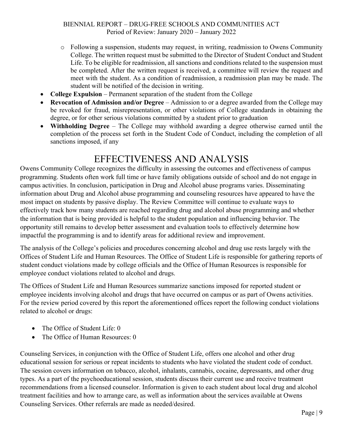- <span id="page-8-0"></span>o Following a suspension, students may request, in writing, readmission to Owens Community College. The written request must be submitted to the Director of Student Conduct and Student Life. To be eligible for readmission, all sanctions and conditions related to the suspension must be completed. After the written request is received, a committee will review the request and meet with the student. As a condition of readmission, a readmission plan may be made. The student will be notified of the decision in writing.
- **College Expulsion** Permanent separation of the student from the College
- **Revocation of Admission and/or Degree** Admission to or a degree awarded from the College may be revoked for fraud, misrepresentation, or other violations of College standards in obtaining the degree, or for other serious violations committed by a student prior to graduation
- **Withholding Degree** The College may withhold awarding a degree otherwise earned until the completion of the process set forth in the Student Code of Conduct, including the completion of all sanctions imposed, if any

## EFFECTIVENESS AND ANALYSIS

Owens Community College recognizes the difficulty in assessing the outcomes and effectiveness of campus programming. Students often work full time or have family obligations outside of school and do not engage in campus activities. In conclusion, participation in Drug and Alcohol abuse programs varies. Disseminating information about Drug and Alcohol abuse programming and counseling resources have appeared to have the most impact on students by passive display. The Review Committee will continue to evaluate ways to effectively track how many students are reached regarding drug and alcohol abuse programming and whether the information that is being provided is helpful to the student population and influencing behavior. The opportunity still remains to develop better assessment and evaluation tools to effectively determine how impactful the programming is and to identify areas for additional review and improvement.

The analysis of the College's policies and procedures concerning alcohol and drug use rests largely with the Offices of Student Life and Human Resources. The Office of Student Life is responsible for gathering reports of student conduct violations made by college officials and the Office of Human Resources is responsible for employee conduct violations related to alcohol and drugs.

The Offices of Student Life and Human Resources summarize sanctions imposed for reported student or employee incidents involving alcohol and drugs that have occurred on campus or as part of Owens activities. For the review period covered by this report the aforementioned offices report the following conduct violations related to alcohol or drugs:

- The Office of Student Life: 0
- The Office of Human Resources: 0

Counseling Services, in conjunction with the Office of Student Life, offers one alcohol and other drug educational session for serious or repeat incidents to students who have violated the student code of conduct. The session covers information on tobacco, alcohol, inhalants, cannabis, cocaine, depressants, and other drug types. As a part of the psychoeducational session, students discuss their current use and receive treatment recommendations from a licensed counselor. Information is given to each student about local drug and alcohol treatment facilities and how to arrange care, as well as information about the services available at Owens Counseling Services. Other referrals are made as needed/desired.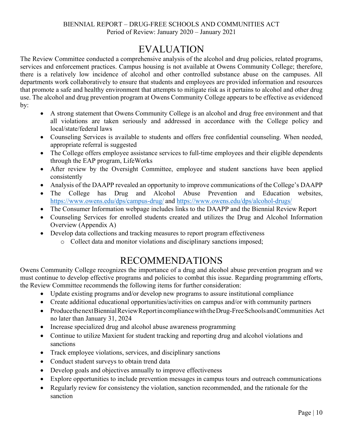## EVALUATION

<span id="page-9-0"></span>The Review Committee conducted a comprehensive analysis of the alcohol and drug policies, related programs, services and enforcement practices. Campus housing is not available at Owens Community College; therefore, there is a relatively low incidence of alcohol and other controlled substance abuse on the campuses. All departments work collaboratively to ensure that students and employees are provided information and resources that promote a safe and healthy environment that attempts to mitigate risk as it pertains to alcohol and other drug use. The alcohol and drug prevention program at Owens Community College appears to be effective as evidenced by:

- A strong statement that Owens Community College is an alcohol and drug free environment and that all violations are taken seriously and addressed in accordance with the College policy and local/state/federal laws
- Counseling Services is available to students and offers free confidential counseling. When needed, appropriate referral is suggested
- The College offers employee assistance services to full-time employees and their eligible dependents through the EAP program, LifeWorks
- After review by the Oversight Committee, employee and student sanctions have been applied consistently
- Analysis of the DAAPP revealed an opportunity to improve communications of the College's DAAPP
- The College has Drug and Alcohol Abuse Prevention and Education websites, https://www.owens.edu/dps/campus-drug/ and https://www.owens.edu/dps/alcohol-drugs/
- The Consumer Information webpage includes links to the DAAPP and the Biennial Review Report
- Counseling Services for enrolled students created and utilizes the Drug and Alcohol Information Overview (Appendix A)
- Develop data collections and tracking measures to report program effectiveness
	- o Collect data and monitor violations and disciplinary sanctions imposed;

## RECOMMENDATIONS

Owens Community College recognizes the importance of a drug and alcohol abuse prevention program and we must continue to develop effective programs and policies to combat this issue. Regarding programming efforts, the Review Committee recommends the following items for further consideration:

- Update existing programs and/or develop new programs to assure institutional compliance
- Create additional educational opportunities/activities on campus and/or with community partners
- Produce the next Biennial Review Report in compliance with the Drug-Free Schools and Communities Act no later than January 31, 2024
- Increase specialized drug and alcohol abuse awareness programming
- Continue to utilize Maxient for student tracking and reporting drug and alcohol violations and sanctions
- Track employee violations, services, and disciplinary sanctions
- Conduct student surveys to obtain trend data
- Develop goals and objectives annually to improve effectiveness
- Explore opportunities to include prevention messages in campus tours and outreach communications
- Regularly review for consistency the violation, sanction recommended, and the rationale for the sanction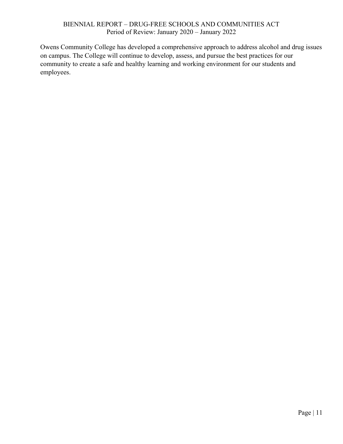Owens Community College has developed a comprehensive approach to address alcohol and drug issues on campus. The College will continue to develop, assess, and pursue the best practices for our community to create a safe and healthy learning and working environment for our students and employees.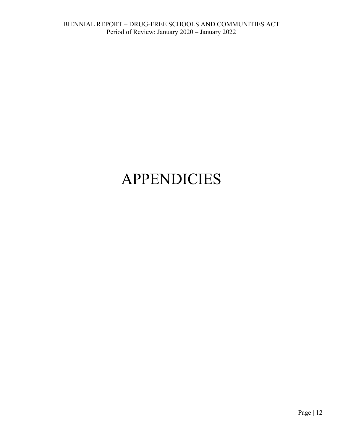## <span id="page-11-0"></span>APPENDICIES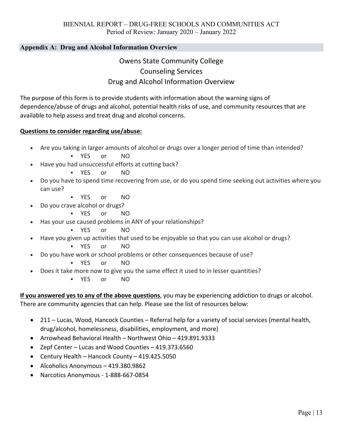#### **Appendix A: Drug and Alcohol Information Overview**

### Owens State Community College Counseling Services Drug and Alcohol Information Overview

The purpose of this form is to provide students with information about the warning signs of dependence/abuse of drugs and alcohol, potential health risks of use, and community resources that are available to help assess and treat drug and alcohol concerns.

#### **Questions to consider regarding use/abuse:**

- Are you taking in larger amounts of alcohol or drugs over a longer period of time than intended? YES or NO
- Have you had unsuccessful efforts at cutting back?
	- YES or NO
- Do you have to spend time recovering from use, or do you spend time seeking out activities where you can use?
	- YES or NO
- Do you crave alcohol or drugs?
	- YES or NO
- Has your use caused problems in ANY of your relationships?
	- YES or NO
- Have you given up activities that used to be enjoyable so that you can use alcohol or drugs?
	- YES or NO
- Do you have work or school problems or other consequences because of use?
	- YES or NO
- Does it take more now to give you the same effect it used to in lesser quantities?
	- YES or NO

**If you answered yes to any of the above questions**, you may be experiencing addiction to drugs or alcohol. There are community agencies that can help. Please see the list of resources below:

- 211 Lucas, Wood, Hancock Counties Referral help for a variety of social services (mental health, drug/alcohol, homelessness, disabilities, employment, and more)
- Arrowhead Behavioral Health Northwest Ohio 419.891.9333
- Zepf Center Lucas and Wood Counties 419.373.6560
- Century Health Hancock County 419.425.5050
- Alcoholics Anonymous 419.380.9862
- Narcotics Anonymous ‐ 1‐888‐667‐0854